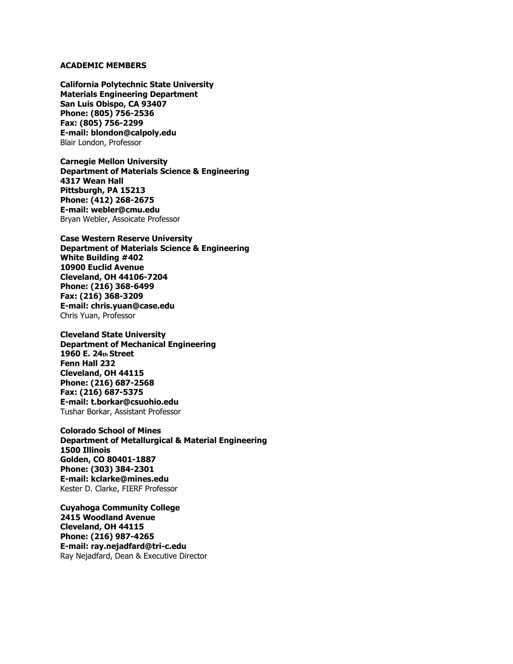## **ACADEMIC MEMBERS**

**California Polytechnic State University Materials Engineering Department San Luis Obispo, CA 93407 Phone: (805) 756-2536 Fax: (805) 756-2299 E-mail: blondon@calpoly.edu**  Blair London, Professor

**Carnegie Mellon University Department of Materials Science & Engineering 4317 Wean Hall Pittsburgh, PA 15213 Phone: (412) 268-2675 E-mail: webler@cmu.edu**  Bryan Webler, Assoicate Professor

**Case Western Reserve University Department of Materials Science & Engineering White Building #402 10900 Euclid Avenue Cleveland, OH 44106-7204 Phone: (216) 368-6499 Fax: (216) 368-3209 E-mail: chris.yuan@case.edu**  Chris Yuan, Professor

**Cleveland State University Department of Mechanical Engineering 1960 E. 24th Street Fenn Hall 232 Cleveland, OH 44115 Phone: (216) 687-2568 Fax: (216) 687-5375 E-mail: t.borkar@csuohio.edu**  Tushar Borkar, Assistant Professor

**Colorado School of Mines Department of Metallurgical & Material Engineering 1500 Illinois Golden, CO 80401-1887 Phone: (303) 384-2301 E-mail: kclarke@mines.edu**  Kester D. Clarke, FIERF Professor

**Cuyahoga Community College 2415 Woodland Avenue Cleveland, OH 44115 Phone: (216) 987-4265 E-mail: ray.nejadfard@tri-c.edu**  Ray Nejadfard, Dean & Executive Director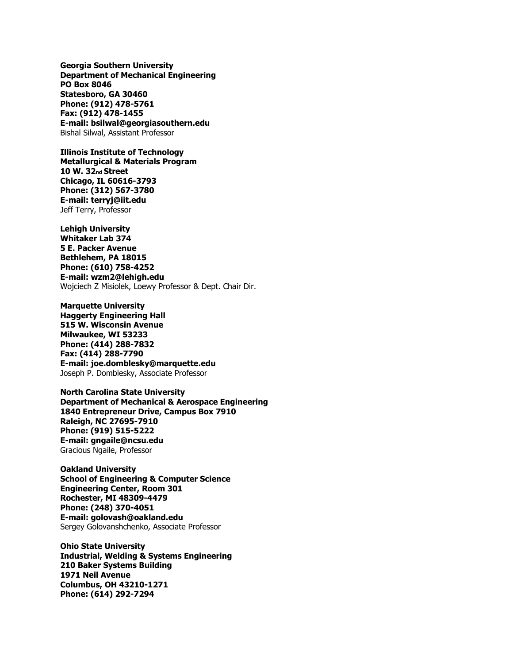**Georgia Southern University Department of Mechanical Engineering PO Box 8046 Statesboro, GA 30460 Phone: (912) 478-5761 Fax: (912) 478-1455 E-mail: bsilwal@georgiasouthern.edu**  Bishal Silwal, Assistant Professor

**Illinois Institute of Technology Metallurgical & Materials Program 10 W. 32nd Street Chicago, IL 60616-3793 Phone: (312) 567-3780 E-mail: terryj@iit.edu**  Jeff Terry, Professor

**Lehigh University Whitaker Lab 374 5 E. Packer Avenue Bethlehem, PA 18015 Phone: (610) 758-4252 E-mail: wzm2@lehigh.edu**  Wojciech Z Misiolek, Loewy Professor & Dept. Chair Dir.

**Marquette University Haggerty Engineering Hall 515 W. Wisconsin Avenue Milwaukee, WI 53233 Phone: (414) 288-7832 Fax: (414) 288-7790 E-mail: joe.domblesky@marquette.edu**  Joseph P. Domblesky, Associate Professor

**North Carolina State University Department of Mechanical & Aerospace Engineering 1840 Entrepreneur Drive, Campus Box 7910 Raleigh, NC 27695-7910 Phone: (919) 515-5222 E-mail: gngaile@ncsu.edu**  Gracious Ngaile, Professor

**Oakland University School of Engineering & Computer Science Engineering Center, Room 301 Rochester, MI 48309-4479 Phone: (248) 370-4051 E-mail: golovash@oakland.edu**  Sergey Golovanshchenko, Associate Professor

**Ohio State University Industrial, Welding & Systems Engineering 210 Baker Systems Building 1971 Neil Avenue Columbus, OH 43210-1271 Phone: (614) 292-7294**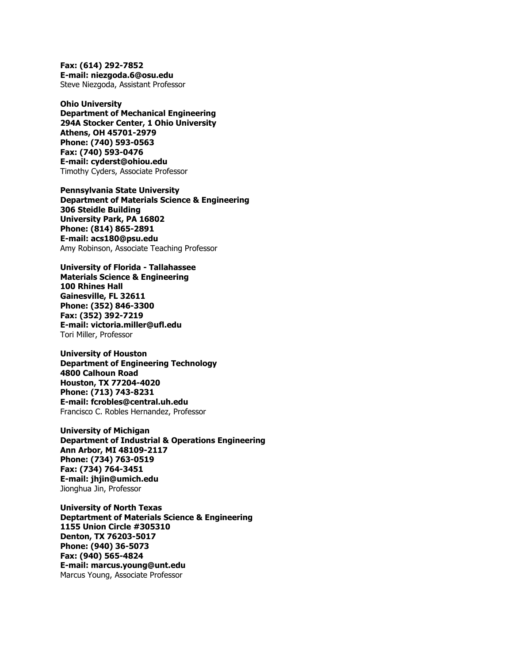**Fax: (614) 292-7852 E-mail: niezgoda.6@osu.edu**  Steve Niezgoda, Assistant Professor

**Ohio University Department of Mechanical Engineering 294A Stocker Center, 1 Ohio University Athens, OH 45701-2979 Phone: (740) 593-0563 Fax: (740) 593-0476 E-mail: cyderst@ohiou.edu**  Timothy Cyders, Associate Professor

**Pennsylvania State University Department of Materials Science & Engineering 306 Steidle Building University Park, PA 16802 Phone: (814) 865-2891 E-mail: acs180@psu.edu**  Amy Robinson, Associate Teaching Professor

**University of Florida - Tallahassee Materials Science & Engineering 100 Rhines Hall Gainesville, FL 32611 Phone: (352) 846-3300 Fax: (352) 392-7219 E-mail: victoria.miller@ufl.edu**  Tori Miller, Professor

**University of Houston Department of Engineering Technology 4800 Calhoun Road Houston, TX 77204-4020 Phone: (713) 743-8231 E-mail: fcrobles@central.uh.edu**  Francisco C. Robles Hernandez, Professor

**University of Michigan Department of Industrial & Operations Engineering Ann Arbor, MI 48109-2117 Phone: (734) 763-0519 Fax: (734) 764-3451 E-mail: jhjin@umich.edu**  Jionghua Jin, Professor

**University of North Texas Deptartment of Materials Science & Engineering 1155 Union Circle #305310 Denton, TX 76203-5017 Phone: (940) 36-5073 Fax: (940) 565-4824 E-mail: marcus.young@unt.edu**  Marcus Young, Associate Professor